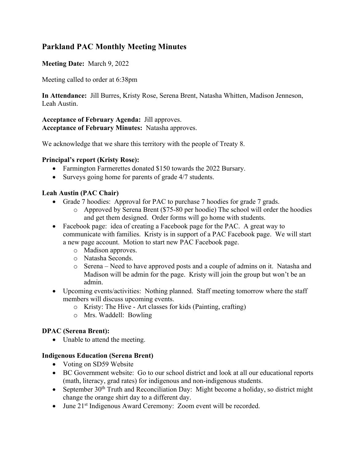# **Parkland PAC Monthly Meeting Minutes**

## **Meeting Date:** March 9, 2022

Meeting called to order at 6:38pm

**In Attendance:** Jill Burres, Kristy Rose, Serena Brent, Natasha Whitten, Madison Jenneson, Leah Austin.

**Acceptance of February Agenda:** Jill approves. **Acceptance of February Minutes:** Natasha approves.

We acknowledge that we share this territory with the people of Treaty 8.

### **Principal's report (Kristy Rose):**

- Farmington Farmerettes donated \$150 towards the 2022 Bursary.
- Surveys going home for parents of grade 4/7 students.

### **Leah Austin (PAC Chair)**

- Grade 7 hoodies: Approval for PAC to purchase 7 hoodies for grade 7 grads.
	- o Approved by Serena Brent (\$75-80 per hoodie) The school will order the hoodies and get them designed. Order forms will go home with students.
- Facebook page: idea of creating a Facebook page for the PAC. A great way to communicate with families. Kristy is in support of a PAC Facebook page. We will start a new page account. Motion to start new PAC Facebook page.
	- o Madison approves.
	- o Natasha Seconds.
	- o Serena Need to have approved posts and a couple of admins on it. Natasha and Madison will be admin for the page. Kristy will join the group but won't be an admin.
- Upcoming events/activities: Nothing planned. Staff meeting tomorrow where the staff members will discuss upcoming events.
	- o Kristy: The Hive Art classes for kids (Painting, crafting)
	- o Mrs. Waddell: Bowling

## **DPAC (Serena Brent):**

• Unable to attend the meeting.

#### **Indigenous Education (Serena Brent)**

- Voting on SD59 Website
- BC Government website: Go to our school district and look at all our educational reports (math, literacy, grad rates) for indigenous and non-indigenous students.
- September  $30<sup>th</sup>$  Truth and Reconciliation Day: Might become a holiday, so district might change the orange shirt day to a different day.
- June 21<sup>st</sup> Indigenous Award Ceremony: Zoom event will be recorded.